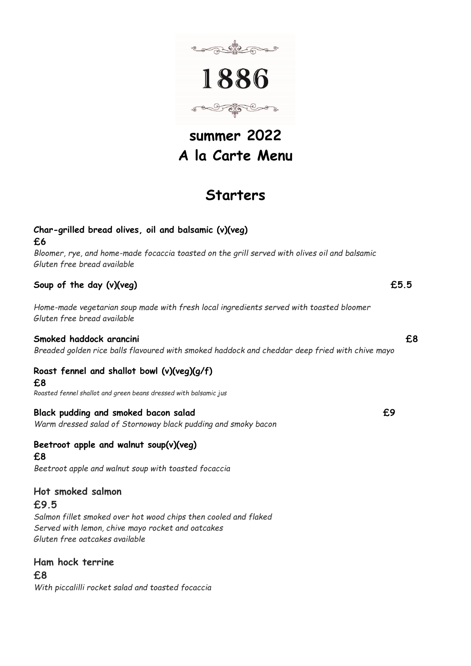

# **summer 2022 A la Carte Menu**

# **Starters**

# **Char-grilled bread olives, oil and balsamic (v)(veg)**

**£6** 

*Bloomer, rye, and home-made focaccia toasted on the grill served with olives oil and balsamic Gluten free bread available*

# **Soup of the day (v)(veg) £5.5**

*Home-made vegetarian soup made with fresh local ingredients served with toasted bloomer Gluten free bread available*

## **Smoked haddock arancini £8**

*Breaded golden rice balls flavoured with smoked haddock and cheddar deep fried with chive mayo*

# **Roast fennel and shallot bowl (v)(veg)(g/f)**

**£8** 

*Roasted fennel shallot and green beans dressed with balsamic jus* 

## **Black pudding and smoked bacon salad £9**

*Warm dressed salad of Stornoway black pudding and smoky bacon* 

#### **Beetroot apple and walnut soup(v)(veg) £8**

*Beetroot apple and walnut soup with toasted focaccia*

# **Hot smoked salmon**

## **£9.5**

*Salmon fillet smoked over hot wood chips then cooled and flaked Served with lemon, chive mayo rocket and oatcakes Gluten free oatcakes available* 

## **Ham hock terrine**

**£8** *With piccalilli rocket salad and toasted focaccia*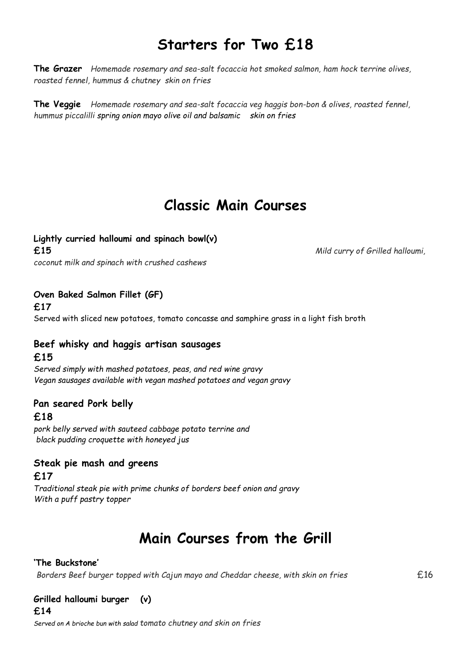# **Starters for Two £18**

**The Grazer** *Homemade rosemary and sea-salt focaccia hot smoked salmon, ham hock terrine olives, roasted fennel, hummus & chutney skin on fries* 

**The Veggie** *Homemade rosemary and sea-salt focaccia veg haggis bon-bon & olives, roasted fennel, hummus piccalilli spring onion mayo olive oil and balsamic skin on fries* 

# **Classic Main Courses**

### **Lightly curried halloumi and spinach bowl(v)**

**£15** *Mild curry of Grilled halloumi,* 

*coconut milk and spinach with crushed cashews* 

**Oven Baked Salmon Fillet (GF)** 

**£17**

Served with sliced new potatoes, tomato concasse and samphire grass in a light fish broth

# **Beef whisky and haggis artisan sausages £15**

*Served simply with mashed potatoes, peas, and red wine gravy Vegan sausages available with vegan mashed potatoes and vegan gravy*

### **Pan seared Pork belly**

**£18**

*pork belly served with sauteed cabbage potato terrine and black pudding croquette with honeyed jus*

# **Steak pie mash and greens**

### **£17**

*Traditional steak pie with prime chunks of borders beef onion and gravy With a puff pastry topper*

# **Main Courses from the Grill**

### **'The Buckstone'**

*Borders Beef burger topped with Cajun mayo and Cheddar cheese, with skin on fries*  $£16$ 

### **Grilled halloumi burger (v)**

**£14**

*Served on A brioche bun with salad tomato chutney and skin on fries*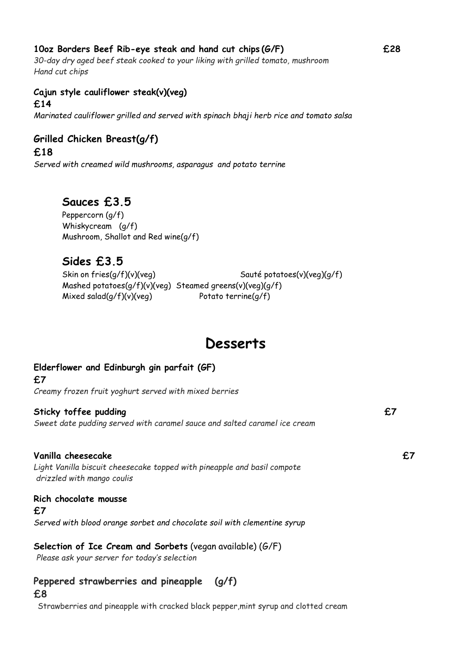## **10oz Borders Beef Rib-eye steak and hand cut chips (G/F) £28**

*30-day dry aged beef steak cooked to your liking with grilled tomato, mushroom Hand cut chips*

## **Cajun style cauliflower steak(v)(veg)**

### **£14**

*Marinated cauliflower grilled and served with spinach bhaji herb rice and tomato salsa*

# **Grilled Chicken Breast(g/f)**

**£18**

*Served with creamed wild mushrooms, asparagus and potato terrine*

# **Sauces £3.5**

Peppercorn (g/f) Whiskycream (g/f) Mushroom, Shallot and Red wine(g/f)

# **Sides £3.5**

Skin on fries(g/f)(v)(veg) Sauté potatoes(v)(veg)(g/f) Mashed potatoes(g/f)(v)(veg) Steamed greens(v)(veg)(g/f) Mixed salad(g/f)(v)(veg) Potato terrine(g/f)

# **Desserts**

# **Elderflower and Edinburgh gin parfait (GF) £7**  *Creamy frozen fruit yoghurt served with mixed berries*  Sticky toffee pudding **EX EXECUTE:** *Sweet date pudding served with caramel sauce and salted caramel ice cream* **Vanilla cheesecake £7**  *Light Vanilla biscuit cheesecake topped with pineapple and basil compote drizzled with mango coulis*  **Rich chocolate mousse £7** *Served with blood orange sorbet and chocolate soil with clementine syrup* **Selection of Ice Cream and Sorbets** (vegan available) (G/F) *Please ask your server for today's selection* **Peppered strawberries and pineapple (g/f)**

#### **£8**

Strawberries and pineapple with cracked black pepper,mint syrup and clotted cream